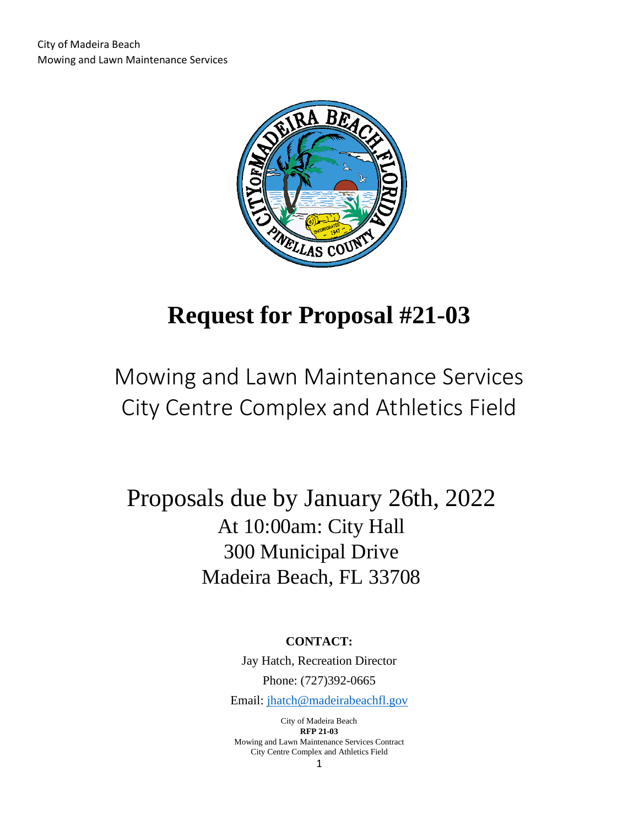

# **Request for Proposal #21-03**

# Mowing and Lawn Maintenance Services City Centre Complex and Athletics Field

## Proposals due by January 26th, 2022 At 10:00am: City Hall 300 Municipal Drive Madeira Beach, FL 33708

**CONTACT:**

Jay Hatch, Recreation Director Phone: (727)392-0665

Email: [jhatch@madeirabeachfl.gov](mailto:jhatch@madeirabeachfl.gov)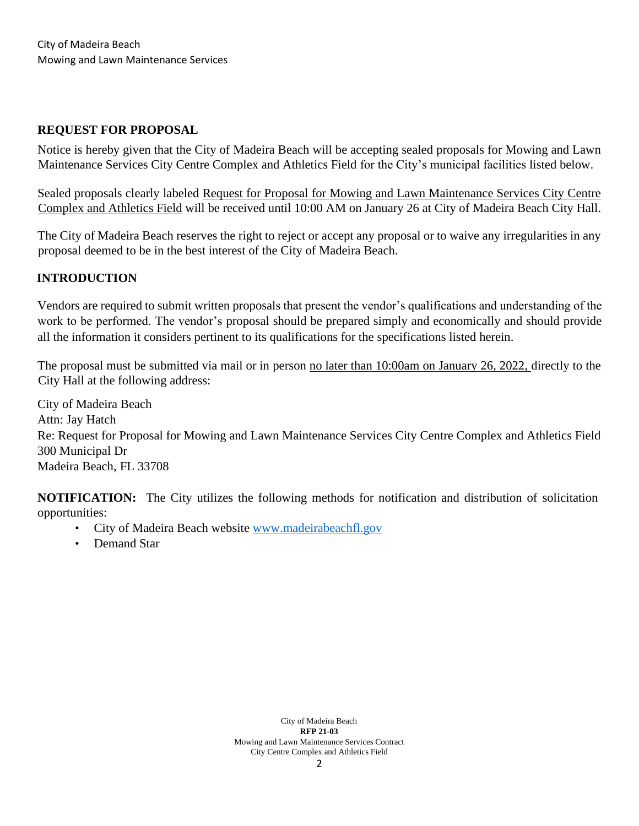## **REQUEST FOR PROPOSAL**

Notice is hereby given that the City of Madeira Beach will be accepting sealed proposals for Mowing and Lawn Maintenance Services City Centre Complex and Athletics Field for the City's municipal facilities listed below.

Sealed proposals clearly labeled Request for Proposal for Mowing and Lawn Maintenance Services City Centre Complex and Athletics Field will be received until 10:00 AM on January 26 at City of Madeira Beach City Hall.

The City of Madeira Beach reserves the right to reject or accept any proposal or to waive any irregularities in any proposal deemed to be in the best interest of the City of Madeira Beach.

## **INTRODUCTION**

Vendors are required to submit written proposals that present the vendor's qualifications and understanding of the work to be performed. The vendor's proposal should be prepared simply and economically and should provide all the information it considers pertinent to its qualifications for the specifications listed herein.

The proposal must be submitted via mail or in person no later than 10:00am on January 26, 2022, directly to the City Hall at the following address:

City of Madeira Beach Attn: Jay Hatch Re: Request for Proposal for Mowing and Lawn Maintenance Services City Centre Complex and Athletics Field 300 Municipal Dr Madeira Beach, FL 33708

**NOTIFICATION:** The City utilizes the following methods for notification and distribution of solicitation opportunities:

- City of Madeira Beach website [www.madeirabeachfl.gov](http://www.madeirabeachfl.gov/)
- Demand Star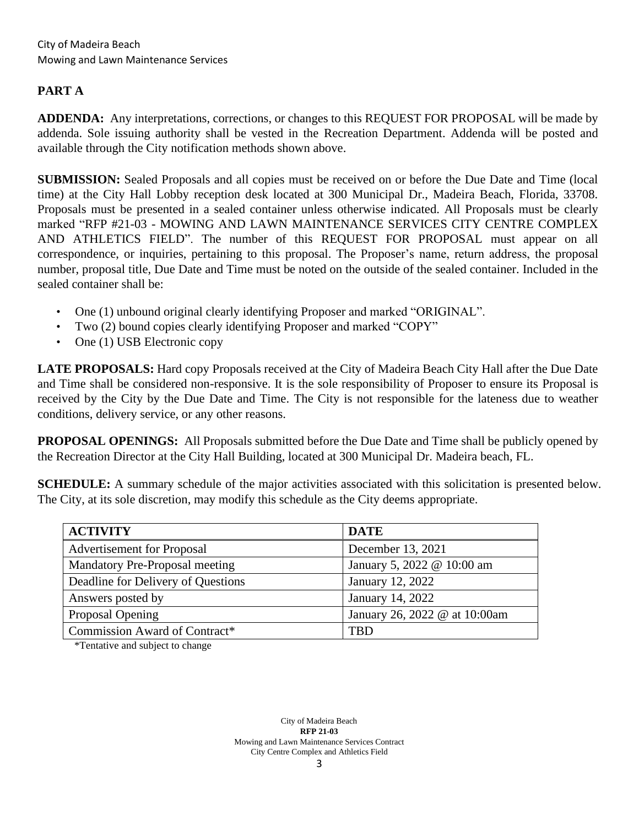## **PART A**

**ADDENDA:** Any interpretations, corrections, or changes to this REQUEST FOR PROPOSAL will be made by addenda. Sole issuing authority shall be vested in the Recreation Department. Addenda will be posted and available through the City notification methods shown above.

**SUBMISSION:** Sealed Proposals and all copies must be received on or before the Due Date and Time (local time) at the City Hall Lobby reception desk located at 300 Municipal Dr., Madeira Beach, Florida, 33708. Proposals must be presented in a sealed container unless otherwise indicated. All Proposals must be clearly marked "RFP #21-03 - MOWING AND LAWN MAINTENANCE SERVICES CITY CENTRE COMPLEX AND ATHLETICS FIELD". The number of this REQUEST FOR PROPOSAL must appear on all correspondence, or inquiries, pertaining to this proposal. The Proposer's name, return address, the proposal number, proposal title, Due Date and Time must be noted on the outside of the sealed container. Included in the sealed container shall be:

- One (1) unbound original clearly identifying Proposer and marked "ORIGINAL".
- Two (2) bound copies clearly identifying Proposer and marked "COPY"
- One (1) USB Electronic copy

**LATE PROPOSALS:** Hard copy Proposals received at the City of Madeira Beach City Hall after the Due Date and Time shall be considered non-responsive. It is the sole responsibility of Proposer to ensure its Proposal is received by the City by the Due Date and Time. The City is not responsible for the lateness due to weather conditions, delivery service, or any other reasons.

**PROPOSAL OPENINGS:** All Proposals submitted before the Due Date and Time shall be publicly opened by the Recreation Director at the City Hall Building, located at 300 Municipal Dr. Madeira beach, FL.

**SCHEDULE:** A summary schedule of the major activities associated with this solicitation is presented below. The City, at its sole discretion, may modify this schedule as the City deems appropriate.

| <b>ACTIVITY</b>                    | <b>DATE</b>                   |
|------------------------------------|-------------------------------|
| <b>Advertisement for Proposal</b>  | December 13, 2021             |
| Mandatory Pre-Proposal meeting     | January 5, 2022 @ 10:00 am    |
| Deadline for Delivery of Questions | January 12, 2022              |
| Answers posted by                  | January 14, 2022              |
| Proposal Opening                   | January 26, 2022 @ at 10:00am |
| Commission Award of Contract*      | TRD                           |

\*Tentative and subject to change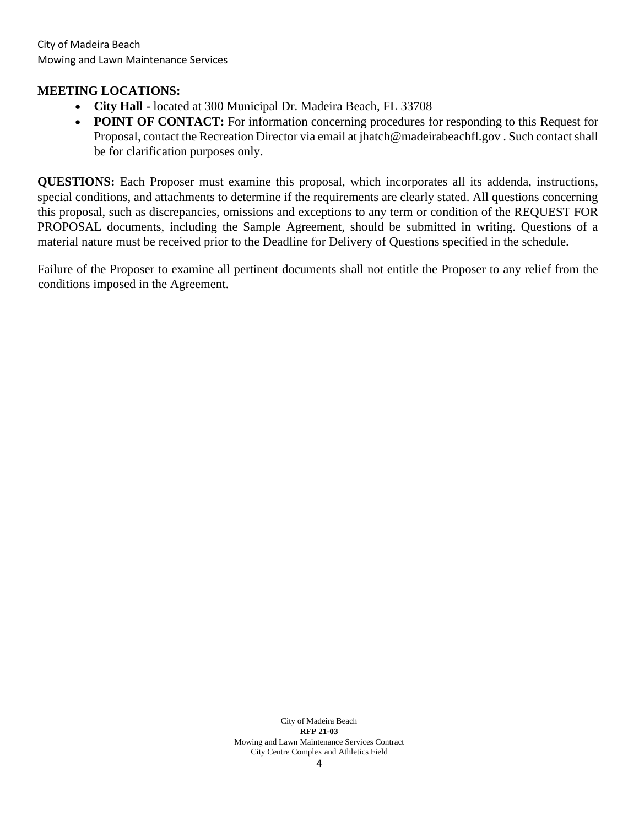#### **MEETING LOCATIONS:**

- **City Hall -** located at 300 Municipal Dr. Madeira Beach, FL 33708
- **POINT OF CONTACT:** For information concerning procedures for responding to this Request for Proposal, contact the Recreation Director via email at jhatch@madeirabeachfl.gov . Such contact shall be for clarification purposes only.

**QUESTIONS:** Each Proposer must examine this proposal, which incorporates all its addenda, instructions, special conditions, and attachments to determine if the requirements are clearly stated. All questions concerning this proposal, such as discrepancies, omissions and exceptions to any term or condition of the REQUEST FOR PROPOSAL documents, including the Sample Agreement, should be submitted in writing. Questions of a material nature must be received prior to the Deadline for Delivery of Questions specified in the schedule.

Failure of the Proposer to examine all pertinent documents shall not entitle the Proposer to any relief from the conditions imposed in the Agreement.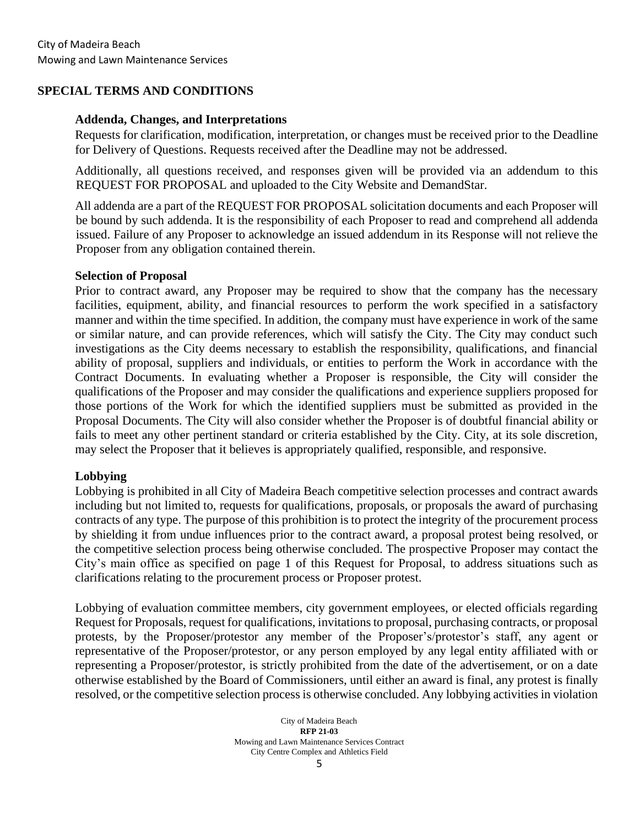### **SPECIAL TERMS AND CONDITIONS**

#### **Addenda, Changes, and Interpretations**

Requests for clarification, modification, interpretation, or changes must be received prior to the Deadline for Delivery of Questions. Requests received after the Deadline may not be addressed.

Additionally, all questions received, and responses given will be provided via an addendum to this REQUEST FOR PROPOSAL and uploaded to the City Website and DemandStar.

All addenda are a part of the REQUEST FOR PROPOSAL solicitation documents and each Proposer will be bound by such addenda. It is the responsibility of each Proposer to read and comprehend all addenda issued. Failure of any Proposer to acknowledge an issued addendum in its Response will not relieve the Proposer from any obligation contained therein.

#### **Selection of Proposal**

Prior to contract award, any Proposer may be required to show that the company has the necessary facilities, equipment, ability, and financial resources to perform the work specified in a satisfactory manner and within the time specified. In addition, the company must have experience in work of the same or similar nature, and can provide references, which will satisfy the City. The City may conduct such investigations as the City deems necessary to establish the responsibility, qualifications, and financial ability of proposal, suppliers and individuals, or entities to perform the Work in accordance with the Contract Documents. In evaluating whether a Proposer is responsible, the City will consider the qualifications of the Proposer and may consider the qualifications and experience suppliers proposed for those portions of the Work for which the identified suppliers must be submitted as provided in the Proposal Documents. The City will also consider whether the Proposer is of doubtful financial ability or fails to meet any other pertinent standard or criteria established by the City. City, at its sole discretion, may select the Proposer that it believes is appropriately qualified, responsible, and responsive.

#### **Lobbying**

Lobbying is prohibited in all City of Madeira Beach competitive selection processes and contract awards including but not limited to, requests for qualifications, proposals, or proposals the award of purchasing contracts of any type. The purpose of this prohibition is to protect the integrity of the procurement process by shielding it from undue influences prior to the contract award, a proposal protest being resolved, or the competitive selection process being otherwise concluded. The prospective Proposer may contact the City's main office as specified on page 1 of this Request for Proposal, to address situations such as clarifications relating to the procurement process or Proposer protest.

Lobbying of evaluation committee members, city government employees, or elected officials regarding Request for Proposals, request for qualifications, invitations to proposal, purchasing contracts, or proposal protests, by the Proposer/protestor any member of the Proposer's/protestor's staff, any agent or representative of the Proposer/protestor, or any person employed by any legal entity affiliated with or representing a Proposer/protestor, is strictly prohibited from the date of the advertisement, or on a date otherwise established by the Board of Commissioners, until either an award is final, any protest is finally resolved, or the competitive selection process is otherwise concluded. Any lobbying activities in violation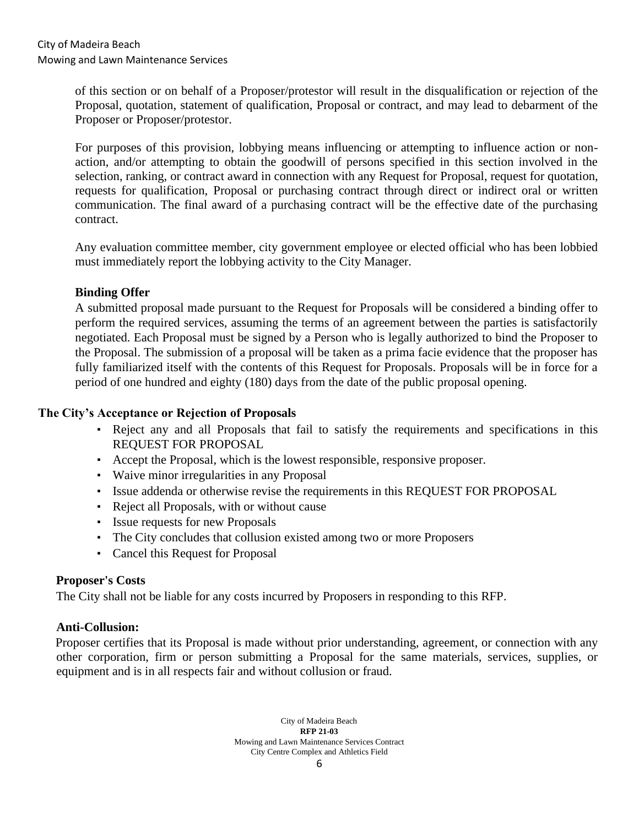of this section or on behalf of a Proposer/protestor will result in the disqualification or rejection of the Proposal, quotation, statement of qualification, Proposal or contract, and may lead to debarment of the Proposer or Proposer/protestor.

For purposes of this provision, lobbying means influencing or attempting to influence action or nonaction, and/or attempting to obtain the goodwill of persons specified in this section involved in the selection, ranking, or contract award in connection with any Request for Proposal, request for quotation, requests for qualification, Proposal or purchasing contract through direct or indirect oral or written communication. The final award of a purchasing contract will be the effective date of the purchasing contract.

Any evaluation committee member, city government employee or elected official who has been lobbied must immediately report the lobbying activity to the City Manager.

#### **Binding Offer**

A submitted proposal made pursuant to the Request for Proposals will be considered a binding offer to perform the required services, assuming the terms of an agreement between the parties is satisfactorily negotiated. Each Proposal must be signed by a Person who is legally authorized to bind the Proposer to the Proposal. The submission of a proposal will be taken as a prima facie evidence that the proposer has fully familiarized itself with the contents of this Request for Proposals. Proposals will be in force for a period of one hundred and eighty (180) days from the date of the public proposal opening.

### **The City's Acceptance or Rejection of Proposals**

- Reject any and all Proposals that fail to satisfy the requirements and specifications in this REQUEST FOR PROPOSAL
- Accept the Proposal, which is the lowest responsible, responsive proposer.
- Waive minor irregularities in any Proposal
- Issue addenda or otherwise revise the requirements in this REQUEST FOR PROPOSAL
- Reject all Proposals, with or without cause
- Issue requests for new Proposals
- The City concludes that collusion existed among two or more Proposers
- Cancel this Request for Proposal

#### **Proposer's Costs**

The City shall not be liable for any costs incurred by Proposers in responding to this RFP.

#### **Anti-Collusion:**

Proposer certifies that its Proposal is made without prior understanding, agreement, or connection with any other corporation, firm or person submitting a Proposal for the same materials, services, supplies, or equipment and is in all respects fair and without collusion or fraud.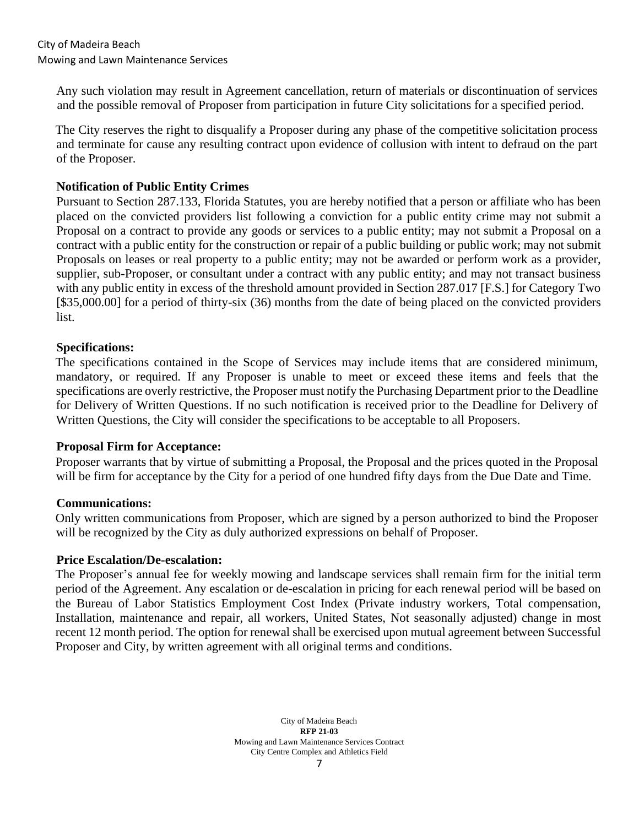Any such violation may result in Agreement cancellation, return of materials or discontinuation of services and the possible removal of Proposer from participation in future City solicitations for a specified period.

The City reserves the right to disqualify a Proposer during any phase of the competitive solicitation process and terminate for cause any resulting contract upon evidence of collusion with intent to defraud on the part of the Proposer.

### **Notification of Public Entity Crimes**

Pursuant to Section 287.133, Florida Statutes, you are hereby notified that a person or affiliate who has been placed on the convicted providers list following a conviction for a public entity crime may not submit a Proposal on a contract to provide any goods or services to a public entity; may not submit a Proposal on a contract with a public entity for the construction or repair of a public building or public work; may not submit Proposals on leases or real property to a public entity; may not be awarded or perform work as a provider, supplier, sub-Proposer, or consultant under a contract with any public entity; and may not transact business with any public entity in excess of the threshold amount provided in Section 287.017 [F.S.] for Category Two [\$35,000.00] for a period of thirty-six (36) months from the date of being placed on the convicted providers list.

## **Specifications:**

The specifications contained in the Scope of Services may include items that are considered minimum, mandatory, or required. If any Proposer is unable to meet or exceed these items and feels that the specifications are overly restrictive, the Proposer must notify the Purchasing Department prior to the Deadline for Delivery of Written Questions. If no such notification is received prior to the Deadline for Delivery of Written Questions, the City will consider the specifications to be acceptable to all Proposers.

#### **Proposal Firm for Acceptance:**

Proposer warrants that by virtue of submitting a Proposal, the Proposal and the prices quoted in the Proposal will be firm for acceptance by the City for a period of one hundred fifty days from the Due Date and Time.

#### **Communications:**

Only written communications from Proposer, which are signed by a person authorized to bind the Proposer will be recognized by the City as duly authorized expressions on behalf of Proposer.

#### **Price Escalation/De-escalation:**

The Proposer's annual fee for weekly mowing and landscape services shall remain firm for the initial term period of the Agreement. Any escalation or de-escalation in pricing for each renewal period will be based on the Bureau of Labor Statistics Employment Cost Index (Private industry workers, Total compensation, Installation, maintenance and repair, all workers, United States, Not seasonally adjusted) change in most recent 12 month period. The option for renewal shall be exercised upon mutual agreement between Successful Proposer and City, by written agreement with all original terms and conditions.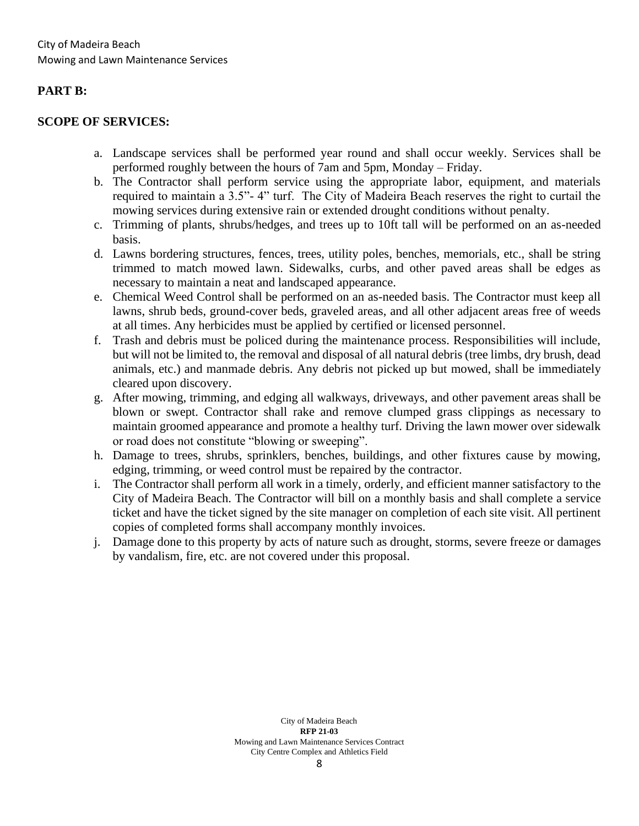#### **PART B:**

#### **SCOPE OF SERVICES:**

- a. Landscape services shall be performed year round and shall occur weekly. Services shall be performed roughly between the hours of 7am and 5pm, Monday – Friday.
- b. The Contractor shall perform service using the appropriate labor, equipment, and materials required to maintain a 3.5"- 4" turf. The City of Madeira Beach reserves the right to curtail the mowing services during extensive rain or extended drought conditions without penalty.
- c. Trimming of plants, shrubs/hedges, and trees up to 10ft tall will be performed on an as-needed basis.
- d. Lawns bordering structures, fences, trees, utility poles, benches, memorials, etc., shall be string trimmed to match mowed lawn. Sidewalks, curbs, and other paved areas shall be edges as necessary to maintain a neat and landscaped appearance.
- e. Chemical Weed Control shall be performed on an as-needed basis. The Contractor must keep all lawns, shrub beds, ground-cover beds, graveled areas, and all other adjacent areas free of weeds at all times. Any herbicides must be applied by certified or licensed personnel.
- f. Trash and debris must be policed during the maintenance process. Responsibilities will include, but will not be limited to, the removal and disposal of all natural debris (tree limbs, dry brush, dead animals, etc.) and manmade debris. Any debris not picked up but mowed, shall be immediately cleared upon discovery.
- g. After mowing, trimming, and edging all walkways, driveways, and other pavement areas shall be blown or swept. Contractor shall rake and remove clumped grass clippings as necessary to maintain groomed appearance and promote a healthy turf. Driving the lawn mower over sidewalk or road does not constitute "blowing or sweeping".
- h. Damage to trees, shrubs, sprinklers, benches, buildings, and other fixtures cause by mowing, edging, trimming, or weed control must be repaired by the contractor.
- i. The Contractor shall perform all work in a timely, orderly, and efficient manner satisfactory to the City of Madeira Beach. The Contractor will bill on a monthly basis and shall complete a service ticket and have the ticket signed by the site manager on completion of each site visit. All pertinent copies of completed forms shall accompany monthly invoices.
- j. Damage done to this property by acts of nature such as drought, storms, severe freeze or damages by vandalism, fire, etc. are not covered under this proposal.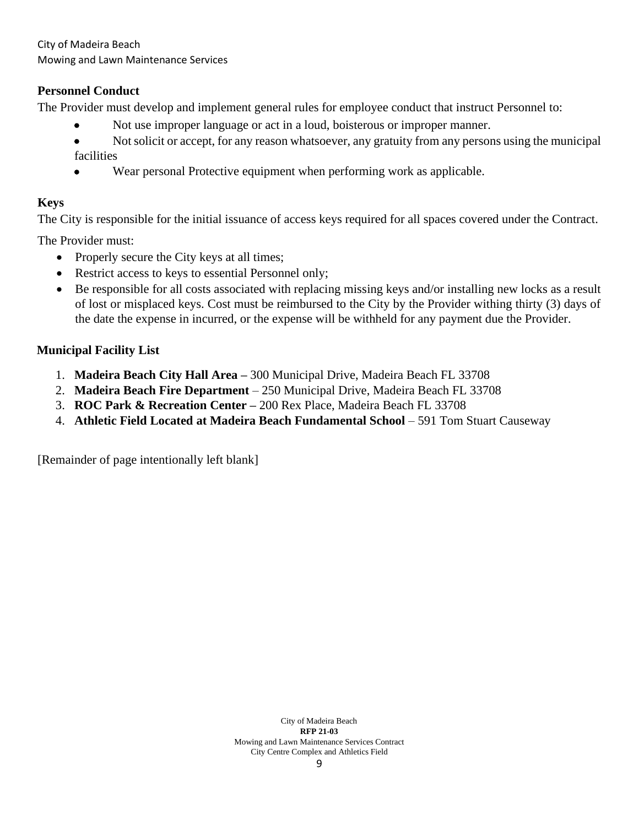City of Madeira Beach Mowing and Lawn Maintenance Services

## **Personnel Conduct**

The Provider must develop and implement general rules for employee conduct that instruct Personnel to:

- Not use improper language or act in a loud, boisterous or improper manner.
- Not solicit or accept, for any reason whatsoever, any gratuity from any persons using the municipal facilities
- Wear personal Protective equipment when performing work as applicable.

## **Keys**

The City is responsible for the initial issuance of access keys required for all spaces covered under the Contract.

The Provider must:

- Properly secure the City keys at all times;
- Restrict access to keys to essential Personnel only;
- Be responsible for all costs associated with replacing missing keys and/or installing new locks as a result of lost or misplaced keys. Cost must be reimbursed to the City by the Provider withing thirty (3) days of the date the expense in incurred, or the expense will be withheld for any payment due the Provider.

## **Municipal Facility List**

- 1. **Madeira Beach City Hall Area –** 300 Municipal Drive, Madeira Beach FL 33708
- 2. **Madeira Beach Fire Department**  250 Municipal Drive, Madeira Beach FL 33708
- 3. **ROC Park & Recreation Center –** 200 Rex Place, Madeira Beach FL 33708
- 4. **Athletic Field Located at Madeira Beach Fundamental School** 591 Tom Stuart Causeway

[Remainder of page intentionally left blank]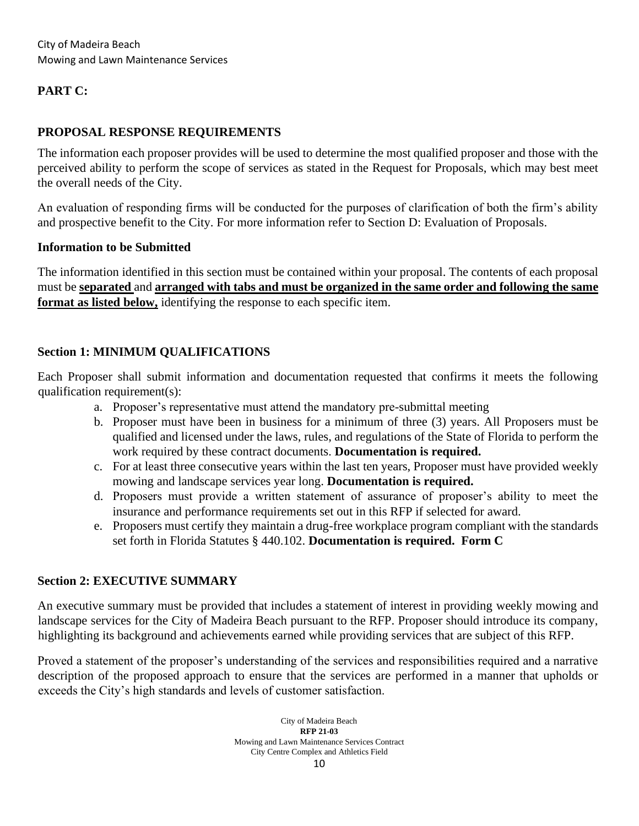## **PART C:**

## **PROPOSAL RESPONSE REQUIREMENTS**

The information each proposer provides will be used to determine the most qualified proposer and those with the perceived ability to perform the scope of services as stated in the Request for Proposals, which may best meet the overall needs of the City.

An evaluation of responding firms will be conducted for the purposes of clarification of both the firm's ability and prospective benefit to the City. For more information refer to Section D: Evaluation of Proposals.

#### **Information to be Submitted**

The information identified in this section must be contained within your proposal. The contents of each proposal must be **separated** and **arranged with tabs and must be organized in the same order and following the same format as listed below,** identifying the response to each specific item.

#### **Section 1: MINIMUM QUALIFICATIONS**

Each Proposer shall submit information and documentation requested that confirms it meets the following qualification requirement(s):

- a. Proposer's representative must attend the mandatory pre-submittal meeting
- b. Proposer must have been in business for a minimum of three (3) years. All Proposers must be qualified and licensed under the laws, rules, and regulations of the State of Florida to perform the work required by these contract documents. **Documentation is required.**
- c. For at least three consecutive years within the last ten years, Proposer must have provided weekly mowing and landscape services year long. **Documentation is required.**
- d. Proposers must provide a written statement of assurance of proposer's ability to meet the insurance and performance requirements set out in this RFP if selected for award.
- e. Proposers must certify they maintain a drug-free workplace program compliant with the standards set forth in Florida Statutes § 440.102. **Documentation is required. Form C**

#### **Section 2: EXECUTIVE SUMMARY**

An executive summary must be provided that includes a statement of interest in providing weekly mowing and landscape services for the City of Madeira Beach pursuant to the RFP. Proposer should introduce its company, highlighting its background and achievements earned while providing services that are subject of this RFP.

Proved a statement of the proposer's understanding of the services and responsibilities required and a narrative description of the proposed approach to ensure that the services are performed in a manner that upholds or exceeds the City's high standards and levels of customer satisfaction.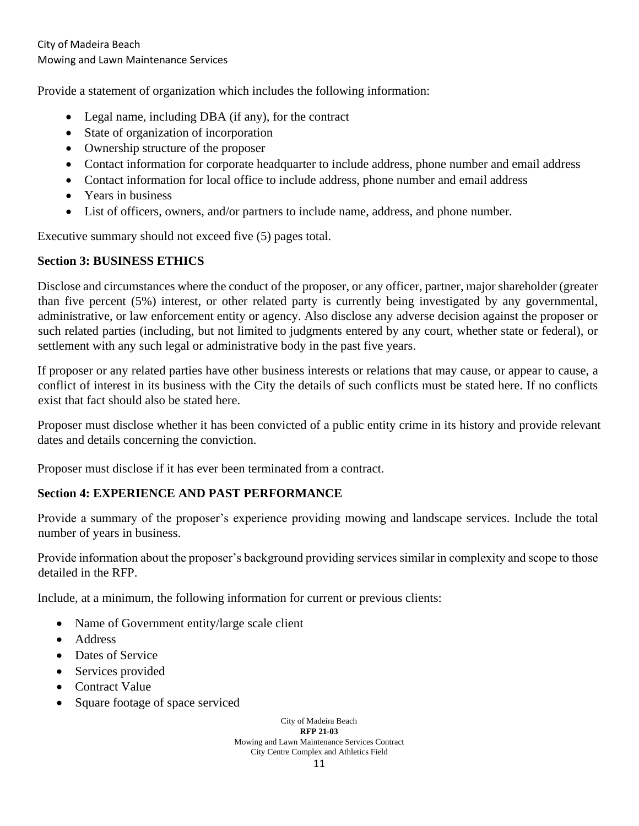Provide a statement of organization which includes the following information:

- Legal name, including DBA (if any), for the contract
- State of organization of incorporation
- Ownership structure of the proposer
- Contact information for corporate headquarter to include address, phone number and email address
- Contact information for local office to include address, phone number and email address
- Years in business
- List of officers, owners, and/or partners to include name, address, and phone number.

Executive summary should not exceed five (5) pages total.

## **Section 3: BUSINESS ETHICS**

Disclose and circumstances where the conduct of the proposer, or any officer, partner, major shareholder (greater than five percent (5%) interest, or other related party is currently being investigated by any governmental, administrative, or law enforcement entity or agency. Also disclose any adverse decision against the proposer or such related parties (including, but not limited to judgments entered by any court, whether state or federal), or settlement with any such legal or administrative body in the past five years.

If proposer or any related parties have other business interests or relations that may cause, or appear to cause, a conflict of interest in its business with the City the details of such conflicts must be stated here. If no conflicts exist that fact should also be stated here.

Proposer must disclose whether it has been convicted of a public entity crime in its history and provide relevant dates and details concerning the conviction.

Proposer must disclose if it has ever been terminated from a contract.

## **Section 4: EXPERIENCE AND PAST PERFORMANCE**

Provide a summary of the proposer's experience providing mowing and landscape services. Include the total number of years in business.

Provide information about the proposer's background providing services similar in complexity and scope to those detailed in the RFP.

Include, at a minimum, the following information for current or previous clients:

- Name of Government entity/large scale client
- Address
- Dates of Service
- Services provided
- Contract Value
- Square footage of space serviced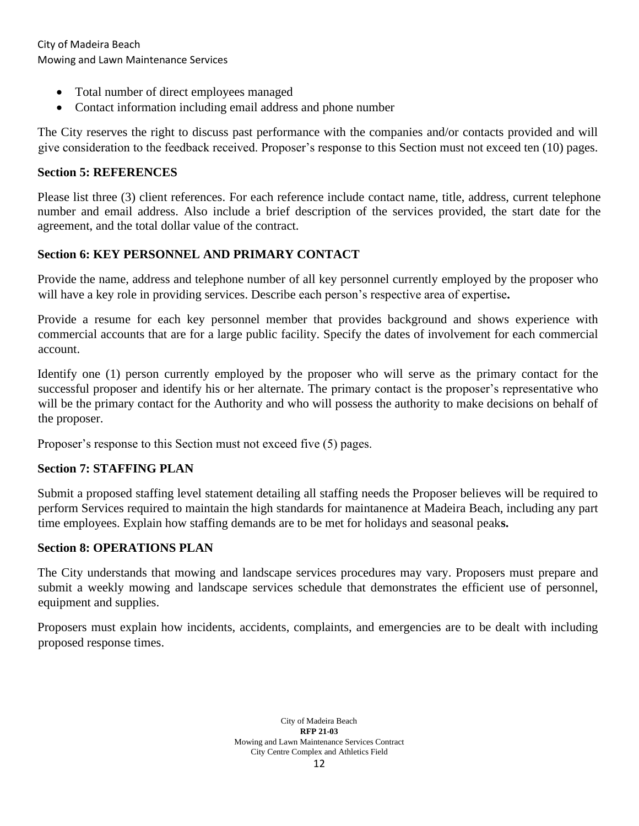City of Madeira Beach Mowing and Lawn Maintenance Services

- Total number of direct employees managed
- Contact information including email address and phone number

The City reserves the right to discuss past performance with the companies and/or contacts provided and will give consideration to the feedback received. Proposer's response to this Section must not exceed ten (10) pages.

## **Section 5: REFERENCES**

Please list three (3) client references. For each reference include contact name, title, address, current telephone number and email address. Also include a brief description of the services provided, the start date for the agreement, and the total dollar value of the contract.

## **Section 6: KEY PERSONNEL AND PRIMARY CONTACT**

Provide the name, address and telephone number of all key personnel currently employed by the proposer who will have a key role in providing services. Describe each person's respective area of expertise**.**

Provide a resume for each key personnel member that provides background and shows experience with commercial accounts that are for a large public facility. Specify the dates of involvement for each commercial account.

Identify one (1) person currently employed by the proposer who will serve as the primary contact for the successful proposer and identify his or her alternate. The primary contact is the proposer's representative who will be the primary contact for the Authority and who will possess the authority to make decisions on behalf of the proposer.

Proposer's response to this Section must not exceed five (5) pages.

## **Section 7: STAFFING PLAN**

Submit a proposed staffing level statement detailing all staffing needs the Proposer believes will be required to perform Services required to maintain the high standards for maintanence at Madeira Beach, including any part time employees. Explain how staffing demands are to be met for holidays and seasonal peak**s.**

## **Section 8: OPERATIONS PLAN**

The City understands that mowing and landscape services procedures may vary. Proposers must prepare and submit a weekly mowing and landscape services schedule that demonstrates the efficient use of personnel, equipment and supplies.

Proposers must explain how incidents, accidents, complaints, and emergencies are to be dealt with including proposed response times.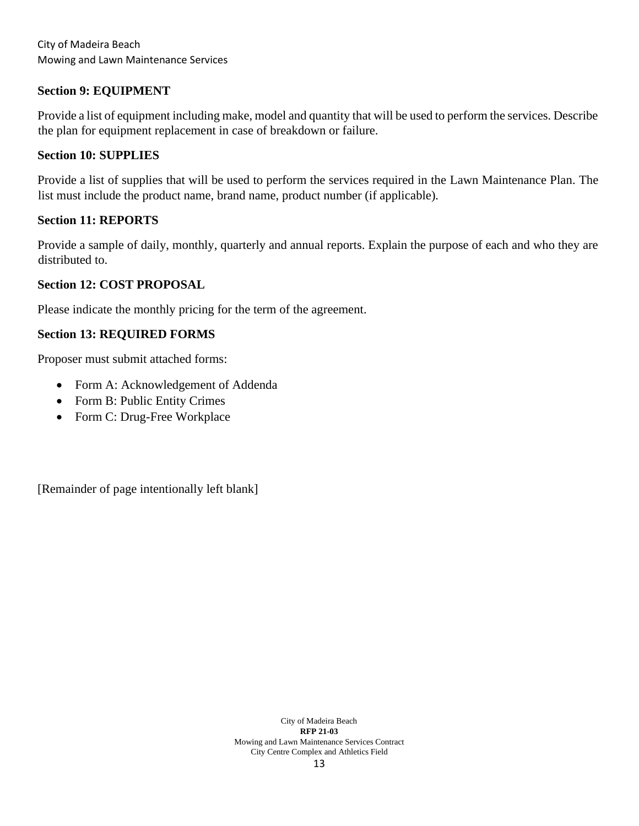City of Madeira Beach Mowing and Lawn Maintenance Services

#### **Section 9: EQUIPMENT**

Provide a list of equipment including make, model and quantity that will be used to perform the services. Describe the plan for equipment replacement in case of breakdown or failure.

#### **Section 10: SUPPLIES**

Provide a list of supplies that will be used to perform the services required in the Lawn Maintenance Plan. The list must include the product name, brand name, product number (if applicable).

#### **Section 11: REPORTS**

Provide a sample of daily, monthly, quarterly and annual reports. Explain the purpose of each and who they are distributed to.

#### **Section 12: COST PROPOSAL**

Please indicate the monthly pricing for the term of the agreement.

#### **Section 13: REQUIRED FORMS**

Proposer must submit attached forms:

- Form A: Acknowledgement of Addenda
- Form B: Public Entity Crimes
- Form C: Drug-Free Workplace

[Remainder of page intentionally left blank]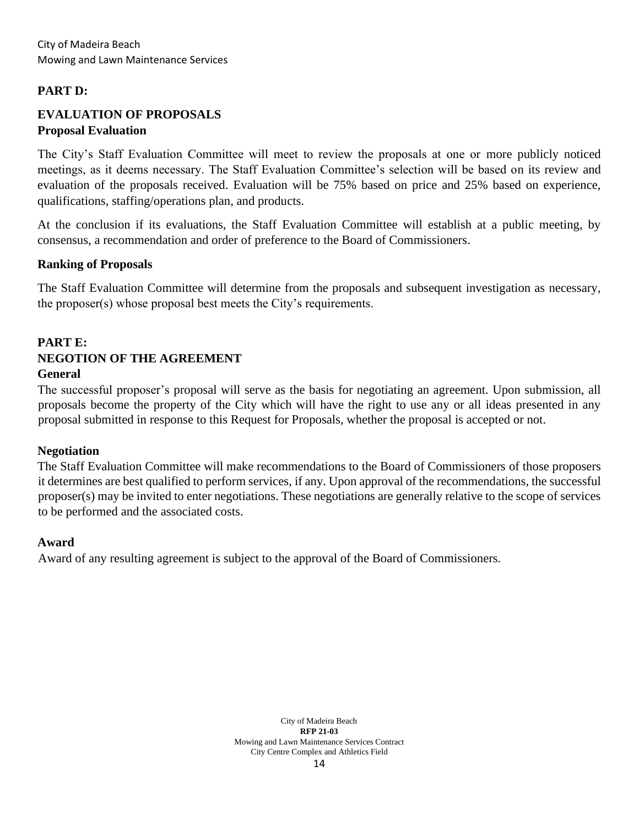## **PART D:**

## **EVALUATION OF PROPOSALS Proposal Evaluation**

The City's Staff Evaluation Committee will meet to review the proposals at one or more publicly noticed meetings, as it deems necessary. The Staff Evaluation Committee's selection will be based on its review and evaluation of the proposals received. Evaluation will be 75% based on price and 25% based on experience, qualifications, staffing/operations plan, and products.

At the conclusion if its evaluations, the Staff Evaluation Committee will establish at a public meeting, by consensus, a recommendation and order of preference to the Board of Commissioners.

#### **Ranking of Proposals**

The Staff Evaluation Committee will determine from the proposals and subsequent investigation as necessary, the proposer(s) whose proposal best meets the City's requirements.

## **PART E: NEGOTION OF THE AGREEMENT General**

The successful proposer's proposal will serve as the basis for negotiating an agreement. Upon submission, all proposals become the property of the City which will have the right to use any or all ideas presented in any proposal submitted in response to this Request for Proposals, whether the proposal is accepted or not.

#### **Negotiation**

The Staff Evaluation Committee will make recommendations to the Board of Commissioners of those proposers it determines are best qualified to perform services, if any. Upon approval of the recommendations, the successful proposer(s) may be invited to enter negotiations. These negotiations are generally relative to the scope of services to be performed and the associated costs.

#### **Award**

Award of any resulting agreement is subject to the approval of the Board of Commissioners.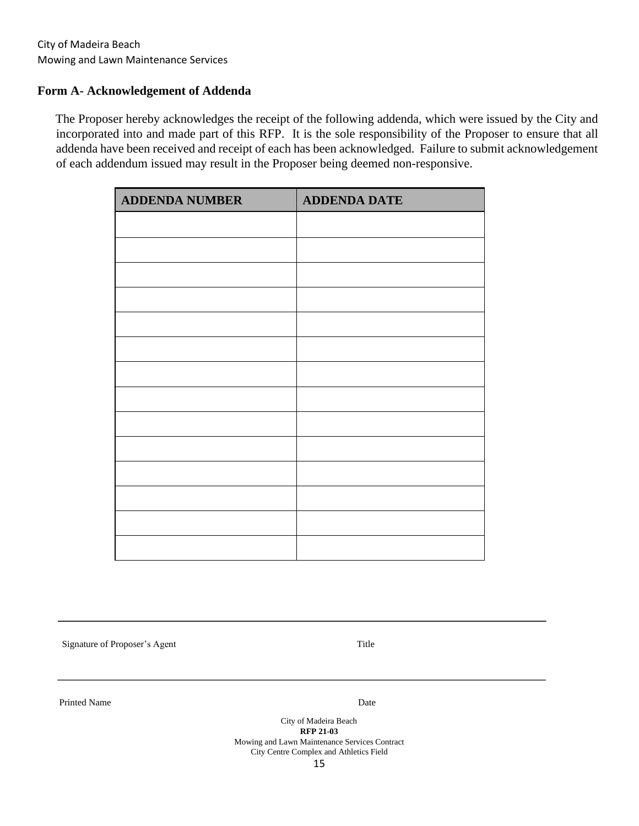#### **Form A- Acknowledgement of Addenda**

The Proposer hereby acknowledges the receipt of the following addenda, which were issued by the City and incorporated into and made part of this RFP. It is the sole responsibility of the Proposer to ensure that all addenda have been received and receipt of each has been acknowledged. Failure to submit acknowledgement of each addendum issued may result in the Proposer being deemed non-responsive.

| <b>ADDENDA NUMBER</b> | <b>ADDENDA DATE</b> |
|-----------------------|---------------------|
|                       |                     |
|                       |                     |
|                       |                     |
|                       |                     |
|                       |                     |
|                       |                     |
|                       |                     |
|                       |                     |
|                       |                     |
|                       |                     |
|                       |                     |
|                       |                     |
|                       |                     |
|                       |                     |

Signature of Proposer's Agent Title

Printed Name Date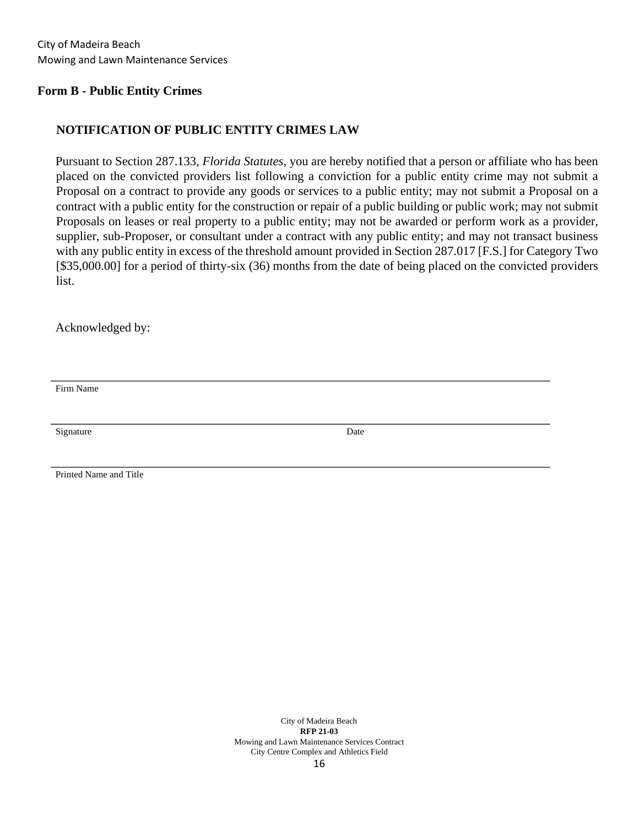#### **Form B - Public Entity Crimes**

#### **NOTIFICATION OF PUBLIC ENTITY CRIMES LAW**

Pursuant to Section 287.133, *Florida Statutes*, you are hereby notified that a person or affiliate who has been placed on the convicted providers list following a conviction for a public entity crime may not submit a Proposal on a contract to provide any goods or services to a public entity; may not submit a Proposal on a contract with a public entity for the construction or repair of a public building or public work; may not submit Proposals on leases or real property to a public entity; may not be awarded or perform work as a provider, supplier, sub-Proposer, or consultant under a contract with any public entity; and may not transact business with any public entity in excess of the threshold amount provided in Section 287.017 [F.S.] for Category Two [\$35,000.00] for a period of thirty-six (36) months from the date of being placed on the convicted providers list.

Acknowledged by:

Firm Name

Signature Date

Printed Name and Title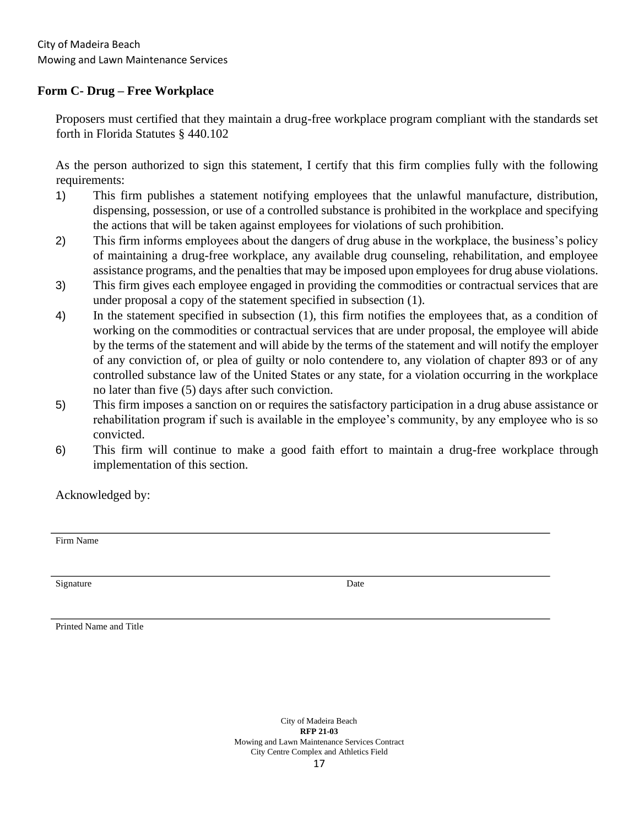### **Form C- Drug – Free Workplace**

Proposers must certified that they maintain a drug-free workplace program compliant with the standards set forth in Florida Statutes § 440.102

As the person authorized to sign this statement, I certify that this firm complies fully with the following requirements:

- 1) This firm publishes a statement notifying employees that the unlawful manufacture, distribution, dispensing, possession, or use of a controlled substance is prohibited in the workplace and specifying the actions that will be taken against employees for violations of such prohibition.
- 2) This firm informs employees about the dangers of drug abuse in the workplace, the business's policy of maintaining a drug-free workplace, any available drug counseling, rehabilitation, and employee assistance programs, and the penalties that may be imposed upon employees for drug abuse violations.
- 3) This firm gives each employee engaged in providing the commodities or contractual services that are under proposal a copy of the statement specified in subsection (1).
- 4) In the statement specified in subsection (1), this firm notifies the employees that, as a condition of working on the commodities or contractual services that are under proposal, the employee will abide by the terms of the statement and will abide by the terms of the statement and will notify the employer of any conviction of, or plea of guilty or nolo contendere to, any violation of chapter 893 or of any controlled substance law of the United States or any state, for a violation occurring in the workplace no later than five (5) days after such conviction.
- 5) This firm imposes a sanction on or requires the satisfactory participation in a drug abuse assistance or rehabilitation program if such is available in the employee's community, by any employee who is so convicted.
- 6) This firm will continue to make a good faith effort to maintain a drug-free workplace through implementation of this section.

Acknowledged by:

Firm Name

Signature Date

Printed Name and Title